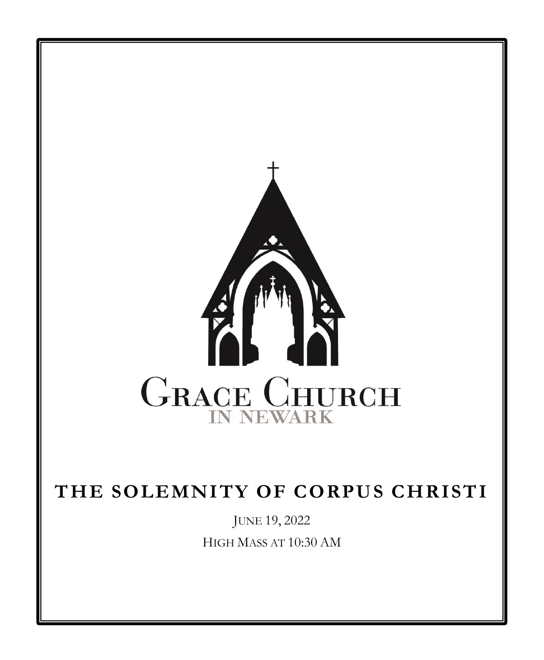

# **THE SOLEMNITY OF CORPUS CHRISTI**

JUNE 19, 2022 HIGH MASS AT 10:30 AM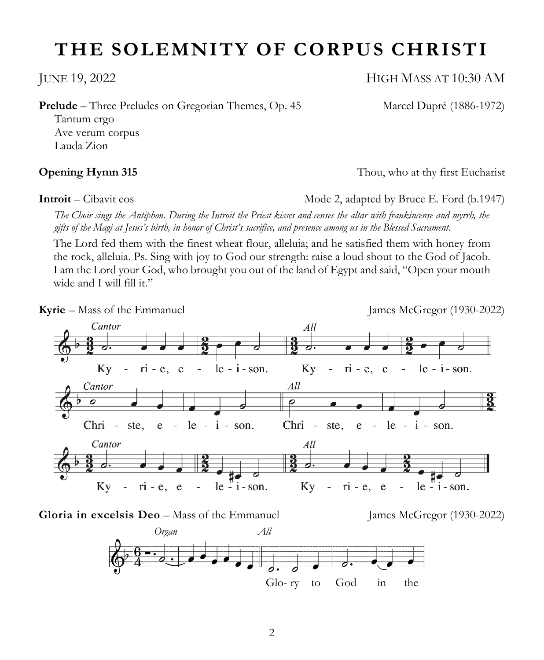# **THE SOLEMNITY OF CORPUS CHRISTI**

**Prelude** – Three Preludes on Gregorian Themes, Op. 45 Marcel Dupré (1886-1972)

Tantum ergo Ave verum corpus Lauda Zion

**Introit** – Cibavit eos **Mode 2, adapted by Bruce E. Ford (b.1947)** Mode 2, adapted by Bruce E. Ford (b.1947)

**Opening Hymn 315** Thou, who at thy first Eucharist

*The Choir sings the Antiphon. During the Introit the Priest kisses and censes the altar with frankincense and myrrh, the gifts of the Magi at Jesus's birth, in honor of Christ's sacrifice, and presence among us in the Blessed Sacrament.*

The Lord fed them with the finest wheat flour, alleluia; and he satisfied them with honey from the rock, alleluia. Ps. Sing with joy to God our strength: raise a loud shout to the God of Jacob. I am the Lord your God, who brought you out of the land of Egypt and said, "Open your mouth wide and I will fill it."



**Gloria in excelsis Deo** – Mass of the Emmanuel James McGregor (1930-2022)



JUNE 19, 2022 HIGH MASS AT 10:30 AM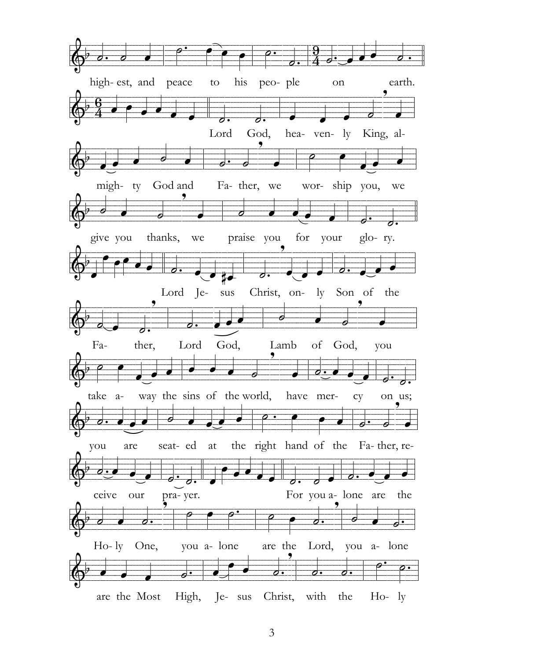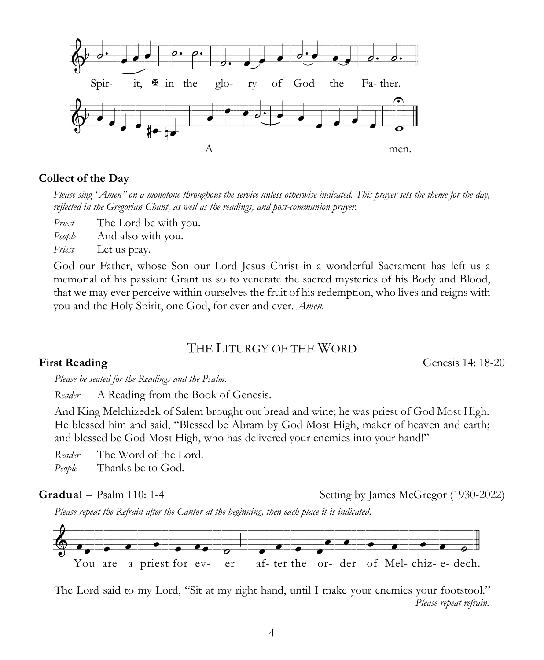

# **Collect of the Day**

*Please sing "Amen" on a monotone throughout the service unless otherwise indicated. This prayer sets the theme for the day, reflected in the Gregorian Chant, as well as the readings, and post-communion prayer.*

*Priest* The Lord be with you.

*People* And also with you.

*Priest* Let us pray.

God our Father, whose Son our Lord Jesus Christ in a wonderful Sacrament has left us a memorial of his passion: Grant us so to venerate the sacred mysteries of his Body and Blood, that we may ever perceive within ourselves the fruit of his redemption, who lives and reigns with you and the Holy Spirit, one God, for ever and ever. *Amen.*

# THE LITURGY OF THE WORD

**First Reading** Genesis 14: 18-20

*Please be seated for the Readings and the Psalm.*

*Reader* A Reading from the Book of Genesis.

And King Melchizedek of Salem brought out bread and wine; he was priest of God Most High. He blessed him and said, "Blessed be Abram by God Most High, maker of heaven and earth; and blessed be God Most High, who has delivered your enemies into your hand!"

*Reader* The Word of the Lord. *People* Thanks be to God.

Gradual – Psalm 110: 1-4 Setting by James McGregor (1930-2022)

*Please repeat the Refrain after the Cantor at the beginning, then each place it is indicated.*



The Lord said to my Lord, "Sit at my right hand, until I make your enemies your footstool."  *Please repeat refrain.*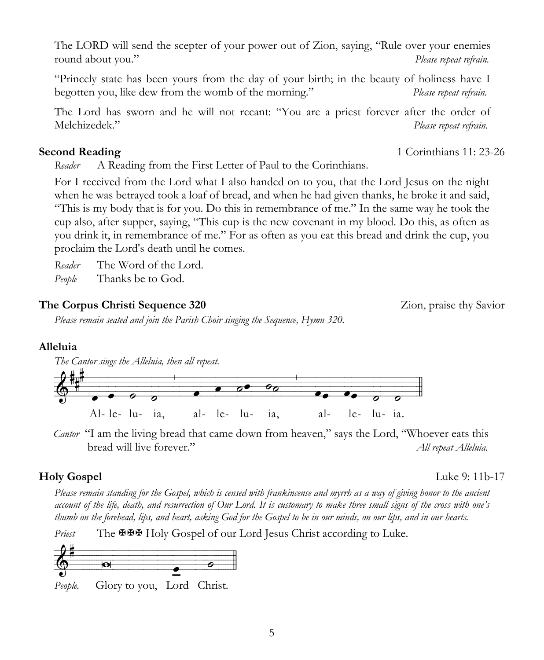The LORD will send the scepter of your power out of Zion, saying, "Rule over your enemies round about you." *Please repeat refrain.*

"Princely state has been yours from the day of your birth; in the beauty of holiness have I begotten you, like dew from the womb of the morning." *Please repeat refrain.*

The Lord has sworn and he will not recant: "You are a priest forever after the order of Melchizedek." *Please repeat refrain.*

*Reader* A Reading from the First Letter of Paul to the Corinthians.

For I received from the Lord what I also handed on to you, that the Lord Jesus on the night when he was betrayed took a loaf of bread, and when he had given thanks, he broke it and said, "This is my body that is for you. Do this in remembrance of me." In the same way he took the cup also, after supper, saying, "This cup is the new covenant in my blood. Do this, as often as you drink it, in remembrance of me." For as often as you eat this bread and drink the cup, you proclaim the Lord's death until he comes.

*Reader* The Word of the Lord.

*People* Thanks be to God.

# **The Corpus Christi Sequence 320** Zion, praise thy Savior

*Please remain seated and join the Parish Choir singing the Sequence, Hymn 320.*

# **Alleluia**

*The Cantor sings the Alleluia, then all repeat.* XeczrvRvEvmvtvuvUivIUvmvtrvtrvEvEv/

*Cantor* "I am the living bread that came down from heaven," says the Lord, "Whoever eats this bread will live forever." *All repeat Alleluia.*

Al- le- lu- ia, al- le- lu- ia, al- le- lu- ia.

# **Holy Gospel** Luke 9: 11b-17

*Please remain standing for the Gospel, which is censed with frankincense and myrrh as a way of giving honor to the ancient account of the life, death, and resurrection of Our Lord. It is customary to make three small signs of the cross with one's thumb on the forehead, lips, and heart, asking God for the Gospel to be in our minds, on our lips, and in our hearts.*

Priest The **XXX** Holy Gospel of our Lord Jesus Christ according to Luke.



*People.* Glory to you, Lord Christ.

**Second Reading** 1 Corinthians 11: 23-26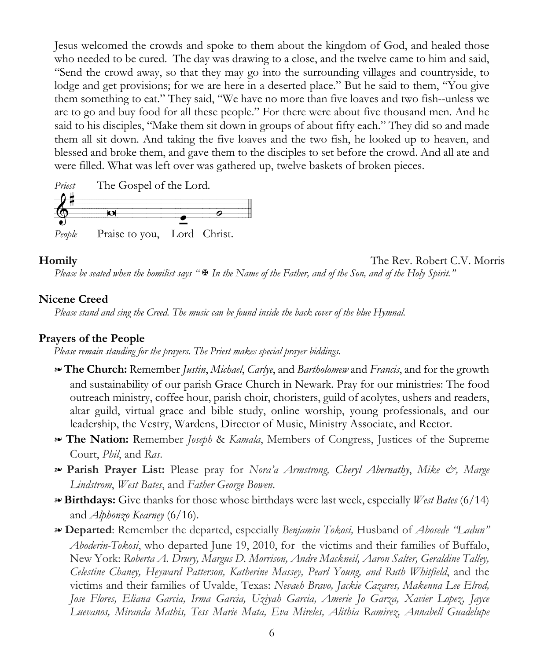Jesus welcomed the crowds and spoke to them about the kingdom of God, and healed those who needed to be cured. The day was drawing to a close, and the twelve came to him and said, "Send the crowd away, so that they may go into the surrounding villages and countryside, to lodge and get provisions; for we are here in a deserted place." But he said to them, "You give them something to eat." They said, "We have no more than five loaves and two fish--unless we are to go and buy food for all these people." For there were about five thousand men. And he said to his disciples, "Make them sit down in groups of about fifty each." They did so and made them all sit down. And taking the five loaves and the two fish, he looked up to heaven, and blessed and broke them, and gave them to the disciples to set before the crowd. And all ate and were filled. What was left over was gathered up, twelve baskets of broken pieces.



**Homily** The Rev. Robert C.V. Morris

*Please be seated when the homilist says* " $\mathbb{F}$  In the Name of the Father, and of the Son, and of the Holy Spirit."

#### **Nicene Creed**

*Please stand and sing the Creed. The music can be found inside the back cover of the blue Hymnal.*

#### **Prayers of the People**

*Please remain standing for the prayers. The Priest makes special prayer biddings.*

- ! **The Church:** Remember *Justin*, *Michael*, *Carlye*, and *Bartholomew* and *Francis*, and for the growth and sustainability of our parish Grace Church in Newark. Pray for our ministries: The food outreach ministry, coffee hour, parish choir, choristers, guild of acolytes, ushers and readers, altar guild, virtual grace and bible study, online worship, young professionals, and our leadership, the Vestry, Wardens, Director of Music, Ministry Associate, and Rector.
- ! **The Nation:** Remember *Joseph* & *Kamala*, Members of Congress, Justices of the Supreme Court, *Phil*, and *Ras*.
- ! **Parish Prayer List:** Please pray for *Nora'a Armstrong, Cheryl Abernathy*, *Mike &, Marge Lindstrom*, *West Bates*, and *Father George Bowen*.
- ! **Birthdays:** Give thanks for those whose birthdays were last week, especially *West Bates* (6/14) and *Alphonzo Kearney* (6/16).
- ! **Departed**: Remember the departed, especially *Benjamin Tokosi,* Husband of *Abosede "Ladun" Aboderin-Tokosi*, who departed June 19, 2010, for the victims and their families of Buffalo, New York: *Roberta A. Drury, Margus D. Morrison, Andre Mackneil, Aaron Salter, Geraldine Talley, Celestine Chaney, Heyward Patterson, Katherine Massey, Pearl Young, and Ruth Whitfield*, and the victims and their families of Uvalde, Texas: *Nevaeh Bravo, Jackie Cazares, Makenna Lee Elrod, Jose Flores, Eliana Garcia, Irma Garcia, Uziyah Garcia, Amerie Jo Garza, Xavier Lopez, Jayce Luevanos, Miranda Mathis, Tess Marie Mata, Eva Mireles, Alithia Ramirez, Annabell Guadelupe*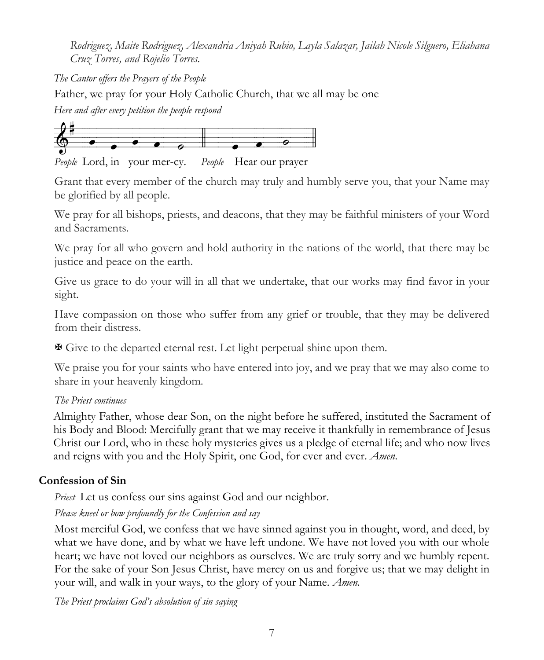*Rodriguez, Maite Rodriguez, Alexandria Aniyah Rubio, Layla Salazar, Jailah Nicole Silguero, Eliahana Cruz Torres, and Rojelio Torres.*

*The Cantor offers the Prayers of the People* Father, we pray for your Holy Catholic Church, that we all may be one *Here and after every petition the people respond*



*People* Lord, in your mer-cy. *People* Hear our prayer

Grant that every member of the church may truly and humbly serve you, that your Name may be glorified by all people.

We pray for all bishops, priests, and deacons, that they may be faithful ministers of your Word and Sacraments.

We pray for all who govern and hold authority in the nations of the world, that there may be justice and peace on the earth.

Give us grace to do your will in all that we undertake, that our works may find favor in your sight.

Have compassion on those who suffer from any grief or trouble, that they may be delivered from their distress.

X Give to the departed eternal rest. Let light perpetual shine upon them.

We praise you for your saints who have entered into joy, and we pray that we may also come to share in your heavenly kingdom.

# *The Priest continues*

Almighty Father, whose dear Son, on the night before he suffered, instituted the Sacrament of his Body and Blood: Mercifully grant that we may receive it thankfully in remembrance of Jesus Christ our Lord, who in these holy mysteries gives us a pledge of eternal life; and who now lives and reigns with you and the Holy Spirit, one God, for ever and ever. *Amen*.

# **Confession of Sin**

*Priest* Let us confess our sins against God and our neighbor.

# *Please kneel or bow profoundly for the Confession and say*

Most merciful God, we confess that we have sinned against you in thought, word, and deed, by what we have done, and by what we have left undone. We have not loved you with our whole heart; we have not loved our neighbors as ourselves. We are truly sorry and we humbly repent. For the sake of your Son Jesus Christ, have mercy on us and forgive us; that we may delight in your will, and walk in your ways, to the glory of your Name. *Amen.*

*The Priest proclaims God's absolution of sin saying*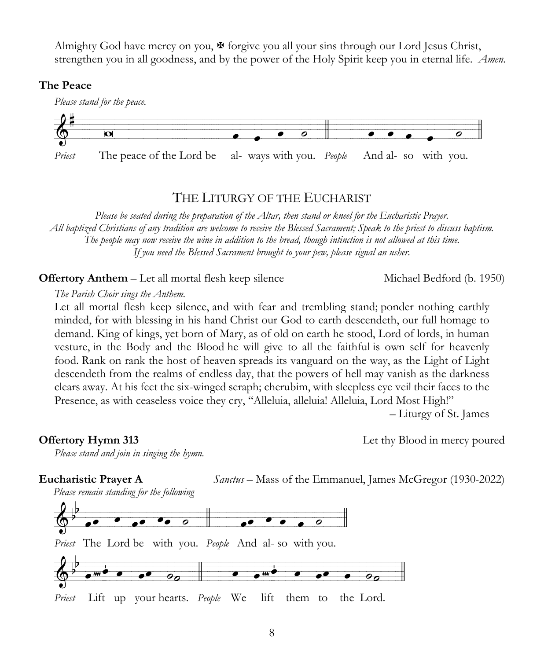Almighty God have mercy on you,  $\mathcal F$  forgive you all your sins through our Lord Jesus Christ, strengthen you in all goodness, and by the power of the Holy Spirit keep you in eternal life. *Amen.*

### **The Peace**



# THE LITURGY OF THE EUCHARIST

*Please be seated during the preparation of the Altar, then stand or kneel for the Eucharistic Prayer. All baptized Christians of any tradition are welcome to receive the Blessed Sacrament; Speak to the priest to discuss baptism. The people may now receive the wine in addition to the bread, though intinction is not allowed at this time. If you need the Blessed Sacrament brought to your pew, please signal an usher.*

**Offertory Anthem** – Let all mortal flesh keep silence Michael Bedford (b. 1950)

#### *The Parish Choir sings the Anthem.*

Let all mortal flesh keep silence, and with fear and trembling stand; ponder nothing earthly minded, for with blessing in his hand Christ our God to earth descendeth, our full homage to demand. King of kings, yet born of Mary, as of old on earth he stood, Lord of lords, in human vesture, in the Body and the Blood he will give to all the faithful is own self for heavenly food. Rank on rank the host of heaven spreads its vanguard on the way, as the Light of Light descendeth from the realms of endless day, that the powers of hell may vanish as the darkness clears away. At his feet the six-winged seraph; cherubim, with sleepless eye veil their faces to the Presence, as with ceaseless voice they cry, "Alleluia, alleluia! Alleluia, Lord Most High!"

– Liturgy of St. James

**Offertory Hymn 313** Let thy Blood in mercy poured

*Please stand and join in singing the hymn.*

#### **Eucharistic Prayer A** *Sanctus* – Mass of the Emmanuel, James McGregor (1930-2022)

*Please remain standing for the following*

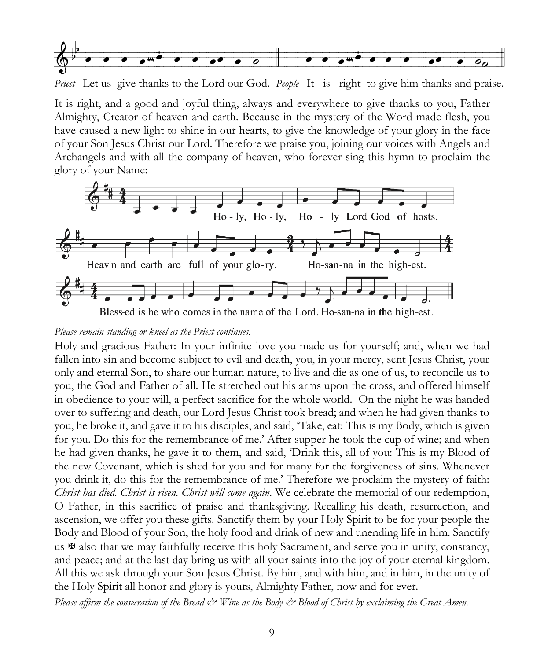

*Priest* Let us give thanks to the Lord our God. *People* It is right to give him thanks and praise.

It is right, and a good and joyful thing, always and everywhere to give thanks to you, Father Almighty, Creator of heaven and earth. Because in the mystery of the Word made flesh, you have caused a new light to shine in our hearts, to give the knowledge of your glory in the face of your Son Jesus Christ our Lord. Therefore we praise you, joining our voices with Angels and Archangels and with all the company of heaven, who forever sing this hymn to proclaim the glory of your Name:



Bless-ed is he who comes in the name of the Lord. Ho-san-na in the high-est.

#### *Please remain standing or kneel as the Priest continues.*

Holy and gracious Father: In your infinite love you made us for yourself; and, when we had fallen into sin and become subject to evil and death, you, in your mercy, sent Jesus Christ, your only and eternal Son, to share our human nature, to live and die as one of us, to reconcile us to you, the God and Father of all. He stretched out his arms upon the cross, and offered himself in obedience to your will, a perfect sacrifice for the whole world. On the night he was handed over to suffering and death, our Lord Jesus Christ took bread; and when he had given thanks to you, he broke it, and gave it to his disciples, and said, 'Take, eat: This is my Body, which is given for you. Do this for the remembrance of me.' After supper he took the cup of wine; and when he had given thanks, he gave it to them, and said, 'Drink this, all of you: This is my Blood of the new Covenant, which is shed for you and for many for the forgiveness of sins. Whenever you drink it, do this for the remembrance of me.' Therefore we proclaim the mystery of faith: *Christ has died. Christ is risen. Christ will come again.* We celebrate the memorial of our redemption, O Father, in this sacrifice of praise and thanksgiving. Recalling his death, resurrection, and ascension, we offer you these gifts. Sanctify them by your Holy Spirit to be for your people the Body and Blood of your Son, the holy food and drink of new and unending life in him. Sanctify us  $\mathbf{\Psi}$  also that we may faithfully receive this holy Sacrament, and serve you in unity, constancy, and peace; and at the last day bring us with all your saints into the joy of your eternal kingdom. All this we ask through your Son Jesus Christ. By him, and with him, and in him, in the unity of the Holy Spirit all honor and glory is yours, Almighty Father, now and for ever.

*Please affirm the consecration of the Bread & Wine as the Body & Blood of Christ by exclaiming the Great Amen.*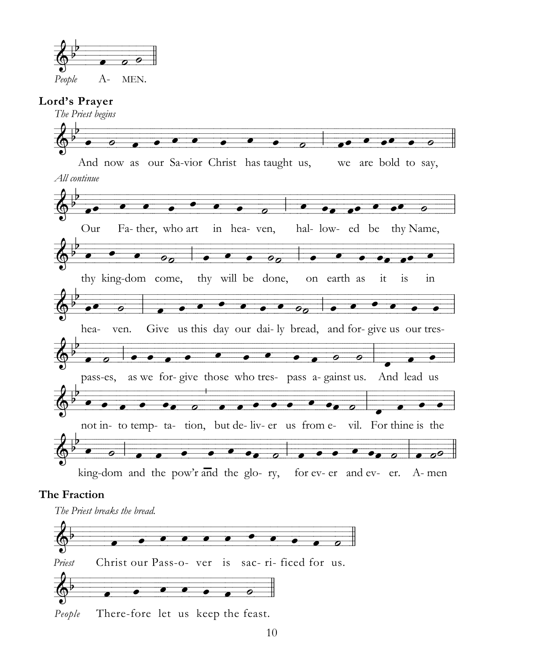

### **Lord's Prayer**

*The Priest begins* MyvzYvztcxzycxucxzuvcyvzzuvzyvzzTcc,cztycxucxyuczzycxzYcxz/ And now as our Sa-vior Christ has taught us, we are bold to say, *All continue* o contract the contract of the contract of the contract of the contract of the contract of the contract of the contract of the contract of the contract of the contract of the contract of the contract of the contract of the Fa- ther, who art in hea- ven, hal- low- ed be thy Name, MuzvizvuvzzYTv,zzyvuvyvYTv,cyvzuvzyczytcztycxzuvz. thy king-dom come, thy will be done, on earth as  $\overline{\phantom{a}}$  ,  $\overline{\phantom{a}}$  ,  $\overline{\phantom{a}}$  ,  $\overline{\phantom{a}}$  ,  $\overline{\phantom{a}}$  ,  $\overline{\phantom{a}}$  ,  $\overline{\phantom{a}}$  ,  $\overline{\phantom{a}}$  hea- ven. Give us this day our dai- ly bread, and for- give us our tres-MtcxTcz,xyzzzyxzztxxxzyzzzzczuzzzzzzyzzzzuvcycxtccYzzzzzYzz.zzzevztvyzzzz. pass-es, as we for- give those who tres- pass a- gainst us. And lead us Muchzy of the contract case of the contract  $\overline{a}$  of the contract  $\overline{a}$  of the contract  $\overline{b}$  and the liv- er us from e- vil. For thine is the  $\overline{\mathcal{A}}$  and and and and and and and and another control and another control and another control and another control and another control another control another control another control another control another control a king-dom and the pow'r and the glo- ry, for ev- er and ev- er. A- men

### **The Fraction**

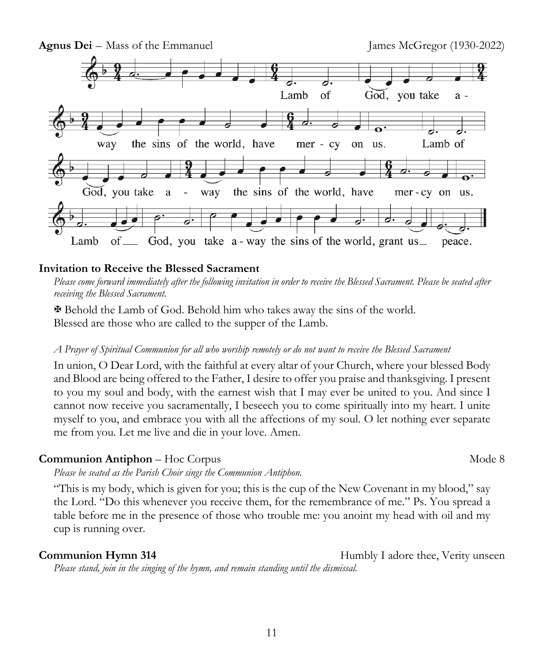

### **Invitation to Receive the Blessed Sacrament**

*Please come forward immediately after the following invitation in order to receive the Blessed Sacrament. Please be seated after receiving the Blessed Sacrament.*

X Behold the Lamb of God. Behold him who takes away the sins of the world. Blessed are those who are called to the supper of the Lamb.

#### *A Prayer of Spiritual Communion for all who worship remotely or do not want to receive the Blessed Sacrament*

In union, O Dear Lord, with the faithful at every altar of your Church, where your blessed Body and Blood are being offered to the Father, I desire to offer you praise and thanksgiving. I present to you my soul and body, with the earnest wish that I may ever be united to you. And since I cannot now receive you sacramentally, I beseech you to come spiritually into my heart. I unite myself to you, and embrace you with all the affections of my soul. O let nothing ever separate me from you. Let me live and die in your love. Amen.

#### **Communion Antiphon** – Hoc Corpus **Mode 8** Mode 8

*Please be seated as the Parish Choir sings the Communion Antiphon.*

"This is my body, which is given for you; this is the cup of the New Covenant in my blood," say the Lord. "Do this whenever you receive them, for the remembrance of me." Ps. You spread a table before me in the presence of those who trouble me: you anoint my head with oil and my cup is running over.

**Communion Hymn 314** Humbly I adore thee, Verity unseen *Please stand, join in the singing of the hymn, and remain standing until the dismissal.*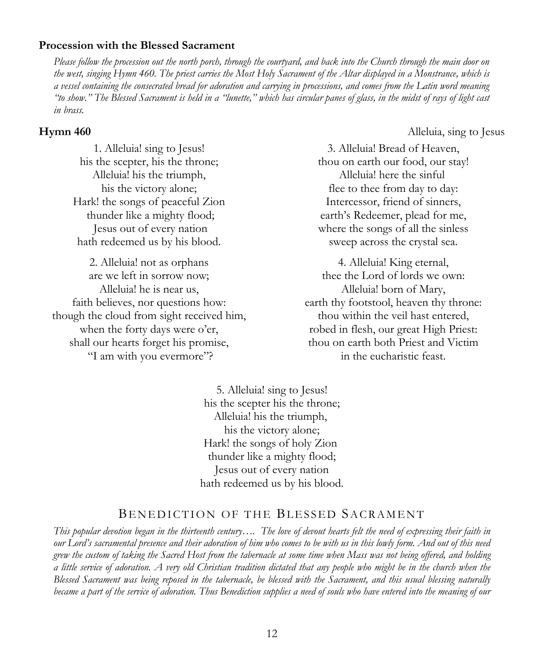#### **Procession with the Blessed Sacrament**

*Please follow the procession out the north porch, through the courtyard, and back into the Church through the main door on the west, singing Hymn 460. The priest carries the Most Holy Sacrament of the Altar displayed in a Monstrance, which is a vessel containing the consecrated bread for adoration and carrying in processions, and comes from the Latin word meaning "to show." The Blessed Sacrament is held in a "lunette," which has circular panes of glass, in the midst of rays of light cast in brass.*

#### **Hymn 460** Alleluia, sing to Jesus

1. Alleluia! sing to Jesus! his the scepter, his the throne; Alleluia! his the triumph, his the victory alone; Hark! the songs of peaceful Zion thunder like a mighty flood; Jesus out of every nation hath redeemed us by his blood.

2. Alleluia! not as orphans are we left in sorrow now; Alleluia! he is near us, faith believes, nor questions how: though the cloud from sight received him, when the forty days were o'er, shall our hearts forget his promise, "I am with you evermore"?

3. Alleluia! Bread of Heaven, thou on earth our food, our stay! Alleluia! here the sinful flee to thee from day to day: Intercessor, friend of sinners, earth's Redeemer, plead for me, where the songs of all the sinless sweep across the crystal sea.

4. Alleluia! King eternal, thee the Lord of lords we own: Alleluia! born of Mary, earth thy footstool, heaven thy throne: thou within the veil hast entered, robed in flesh, our great High Priest: thou on earth both Priest and Victim in the eucharistic feast.

5. Alleluia! sing to Jesus! his the scepter his the throne; Alleluia! his the triumph, his the victory alone; Hark! the songs of holy Zion thunder like a mighty flood; Jesus out of every nation hath redeemed us by his blood.

#### BENEDICTION OF THE BLESSED SACRAMENT

*This popular devotion began in the thirteenth century…. The love of devout hearts felt the need of expressing their faith in our Lord's sacramental presence and their adoration of him who comes to be with us in this lowly form. And out of this need grew the custom of taking the Sacred Host from the tabernacle at some time when Mass was not being offered, and holding a little service of adoration. A very old Christian tradition dictated that any people who might be in the church when the Blessed Sacrament was being reposed in the tabernacle, be blessed with the Sacrament, and this usual blessing naturally became a part of the service of adoration. Thus Benediction supplies a need of souls who have entered into the meaning of our*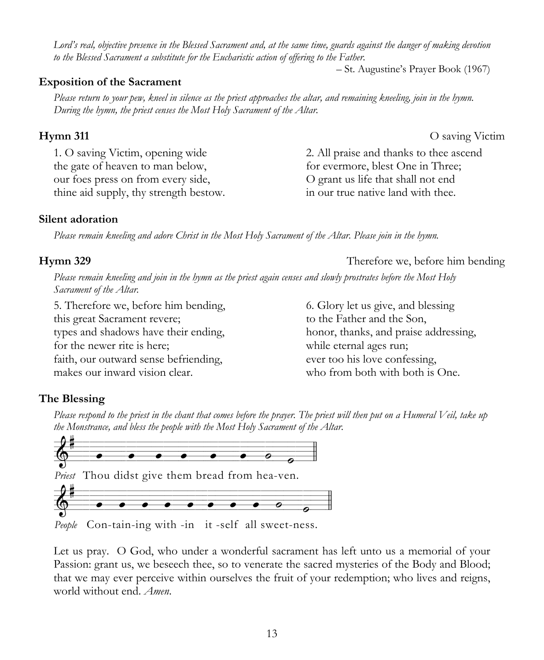6. Glory let us give, and blessing to the Father and the Son,

honor, thanks, and praise addressing, while eternal ages run; ever too his love confessing, who from both with both is One.

2. All praise and thanks to thee ascend for evermore, blest One in Three; O grant us life that shall not end in our true native land with thee.

*Lord's real, objective presence in the Blessed Sacrament and, at the same time, guards against the danger of making devotion to the Blessed Sacrament a substitute for the Eucharistic action of offering to the Father.* 

# **Exposition of the Sacrament**

*Please return to your pew, kneel in silence as the priest approaches the altar, and remaining kneeling, join in the hymn. During the hymn, the priest censes the Most Holy Sacrament of the Altar.*

# **Hymn 311** O saving Victim

1. O saving Victim, opening wide the gate of heaven to man below, our foes press on from every side, thine aid supply, thy strength bestow.

# **Silent adoration**

*Please remain kneeling and adore Christ in the Most Holy Sacrament of the Altar. Please join in the hymn.*

# **Hymn 329** Therefore we, before him bending

*Please remain kneeling and join in the hymn as the priest again censes and slowly prostrates before the Most Holy Sacrament of the Altar.*

5. Therefore we, before him bending, this great Sacrament revere; types and shadows have their ending, for the newer rite is here; faith, our outward sense befriending, makes our inward vision clear.

# **The Blessing**

*Please respond to the priest in the chant that comes before the prayer. The priest will then put on a Humeral Veil, take up the Monstrance, and bless the people with the Most Holy Sacrament of the Altar.*



*People* Con-tain-ing with -in it -self all sweet-ness.

Let us pray. O God, who under a wonderful sacrament has left unto us a memorial of your Passion: grant us, we beseech thee, so to venerate the sacred mysteries of the Body and Blood; that we may ever perceive within ourselves the fruit of your redemption; who lives and reigns, world without end. *Amen*.

*–* St. Augustine's Prayer Book (1967)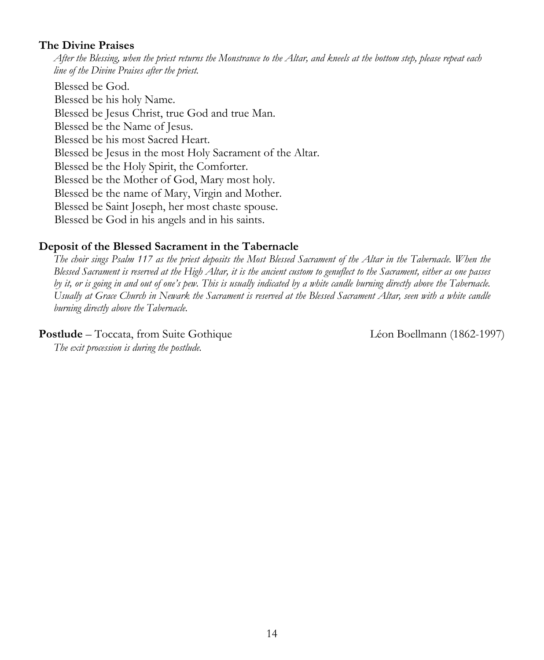### **The Divine Praises**

*After the Blessing, when the priest returns the Monstrance to the Altar, and kneels at the bottom step, please repeat each line of the Divine Praises after the priest.* 

Blessed be God. Blessed be his holy Name. Blessed be Jesus Christ, true God and true Man. Blessed be the Name of Jesus. Blessed be his most Sacred Heart. Blessed be Jesus in the most Holy Sacrament of the Altar. Blessed be the Holy Spirit, the Comforter. Blessed be the Mother of God, Mary most holy. Blessed be the name of Mary, Virgin and Mother. Blessed be Saint Joseph, her most chaste spouse. Blessed be God in his angels and in his saints.

### **Deposit of the Blessed Sacrament in the Tabernacle**

*The choir sings Psalm 117 as the priest deposits the Most Blessed Sacrament of the Altar in the Tabernacle. When the Blessed Sacrament is reserved at the High Altar, it is the ancient custom to genuflect to the Sacrament, either as one passes by it, or is going in and out of one's pew. This is usually indicated by a white candle burning directly above the Tabernacle. Usually at Grace Church in Newark the Sacrament is reserved at the Blessed Sacrament Altar, seen with a white candle burning directly above the Tabernacle.*

**Postlude** – Toccata, from Suite Gothique Léon Boellmann (1862-1997)

*The exit procession is during the postlude.*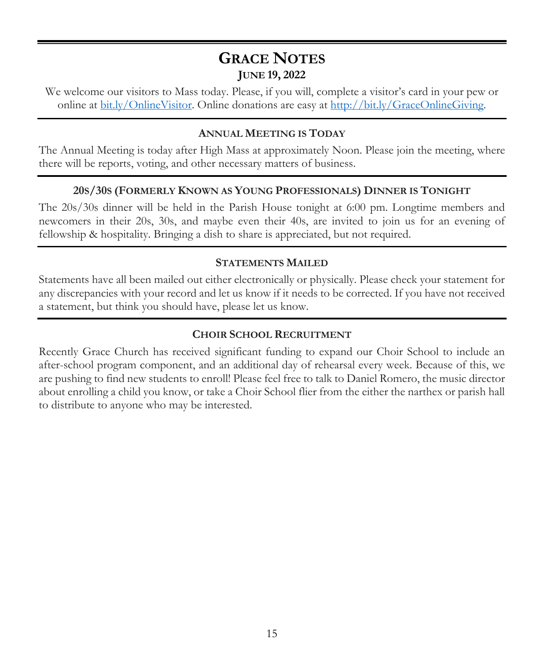# **GRACE NOTES JUNE 19, 2022**

We welcome our visitors to Mass today. Please, if you will, complete a visitor's card in your pew or online at bit.ly/OnlineVisitor. Online donations are easy at http://bit.ly/GraceOnlineGiving.

# **ANNUAL MEETING IS TODAY**

The Annual Meeting is today after High Mass at approximately Noon. Please join the meeting, where there will be reports, voting, and other necessary matters of business.

# **20S/30S (FORMERLY KNOWN AS YOUNG PROFESSIONALS) DINNER IS TONIGHT**

The 20s/30s dinner will be held in the Parish House tonight at 6:00 pm. Longtime members and newcomers in their 20s, 30s, and maybe even their 40s, are invited to join us for an evening of fellowship & hospitality. Bringing a dish to share is appreciated, but not required.

### **STATEMENTS MAILED**

Statements have all been mailed out either electronically or physically. Please check your statement for any discrepancies with your record and let us know if it needs to be corrected. If you have not received a statement, but think you should have, please let us know.

### **CHOIR SCHOOL RECRUITMENT**

Recently Grace Church has received significant funding to expand our Choir School to include an after-school program component, and an additional day of rehearsal every week. Because of this, we are pushing to find new students to enroll! Please feel free to talk to Daniel Romero, the music director about enrolling a child you know, or take a Choir School flier from the either the narthex or parish hall to distribute to anyone who may be interested.